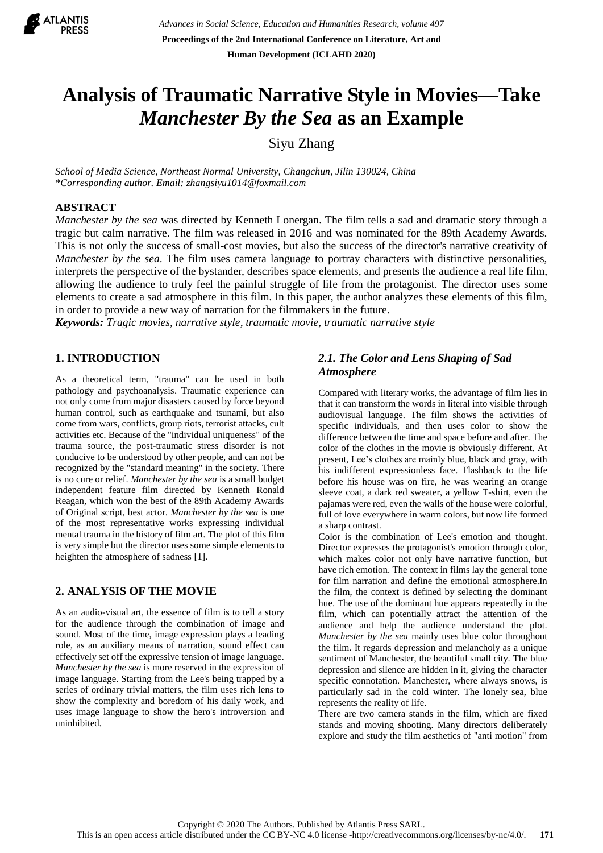

# **Analysis of Traumatic Narrative Style in Movies—Take**  *Manchester By the Sea* **as an Example**

Siyu Zhang

*School of Media Science, Northeast Normal University, Changchun, Jilin 130024, China \*Corresponding author. Email: zhangsiyu1014@foxmail.com*

# **ABSTRACT**

*Manchester by the sea* was directed by Kenneth Lonergan. The film tells a sad and dramatic story through a tragic but calm narrative. The film was released in 2016 and was nominated for the 89th Academy Awards. This is not only the success of small-cost movies, but also the success of the director's narrative creativity of *Manchester by the sea*. The film uses camera language to portray characters with distinctive personalities, interprets the perspective of the bystander, describes space elements, and presents the audience a real life film, allowing the audience to truly feel the painful struggle of life from the protagonist. The director uses some elements to create a sad atmosphere in this film. In this paper, the author analyzes these elements of this film, in order to provide a new way of narration for the filmmakers in the future.

*Keywords: Tragic movies, narrative style, traumatic movie, traumatic narrative style*

# **1. INTRODUCTION**

As a theoretical term, "trauma" can be used in both pathology and psychoanalysis. Traumatic experience can not only come from major disasters caused by force beyond human control, such as earthquake and tsunami, but also come from wars, conflicts, group riots, terrorist attacks, cult activities etc. Because of the "individual uniqueness" of the trauma source, the post-traumatic stress disorder is not conducive to be understood by other people, and can not be recognized by the "standard meaning" in the society. There is no cure or relief. *Manchester by the sea* is a small budget independent feature film directed by Kenneth Ronald Reagan, which won the best of the 89th Academy Awards of Original script, best actor. *Manchester by the sea* is one of the most representative works expressing individual mental trauma in the history of film art. The plot of this film is very simple but the director uses some simple elements to heighten the atmosphere of sadness [1].

# **2. ANALYSIS OF THE MOVIE**

As an audio-visual art, the essence of film is to tell a story for the audience through the combination of image and sound. Most of the time, image expression plays a leading role, as an auxiliary means of narration, sound effect can effectively set off the expressive tension of image language. *Manchester by the sea* is more reserved in the expression of image language. Starting from the Lee's being trapped by a series of ordinary trivial matters, the film uses rich lens to show the complexity and boredom of his daily work, and uses image language to show the hero's introversion and uninhibited.

# *2.1. The Color and Lens Shaping of Sad Atmosphere*

Compared with literary works, the advantage of film lies in that it can transform the words in literal into visible through audiovisual language. The film shows the activities of specific individuals, and then uses color to show the difference between the time and space before and after. The color of the clothes in the movie is obviously different. At present, Lee's clothes are mainly blue, black and gray, with his indifferent expressionless face. Flashback to the life before his house was on fire, he was wearing an orange sleeve coat, a dark red sweater, a yellow T-shirt, even the pajamas were red, even the walls of the house were colorful, full of love everywhere in warm colors, but now life formed a sharp contrast.

Color is the combination of Lee's emotion and thought. Director expresses the protagonist's emotion through color, which makes color not only have narrative function, but have rich emotion. The context in films lay the general tone for film narration and define the emotional atmosphere.In the film, the context is defined by selecting the dominant hue. The use of the dominant hue appears repeatedly in the film, which can potentially attract the attention of the audience and help the audience understand the plot. *Manchester by the sea* mainly uses blue color throughout the film. It regards depression and melancholy as a unique sentiment of Manchester, the beautiful small city. The blue depression and silence are hidden in it, giving the character specific connotation. Manchester, where always snows, is particularly sad in the cold winter. The lonely sea, blue represents the reality of life.

There are two camera stands in the film, which are fixed stands and moving shooting. Many directors deliberately explore and study the film aesthetics of "anti motion" from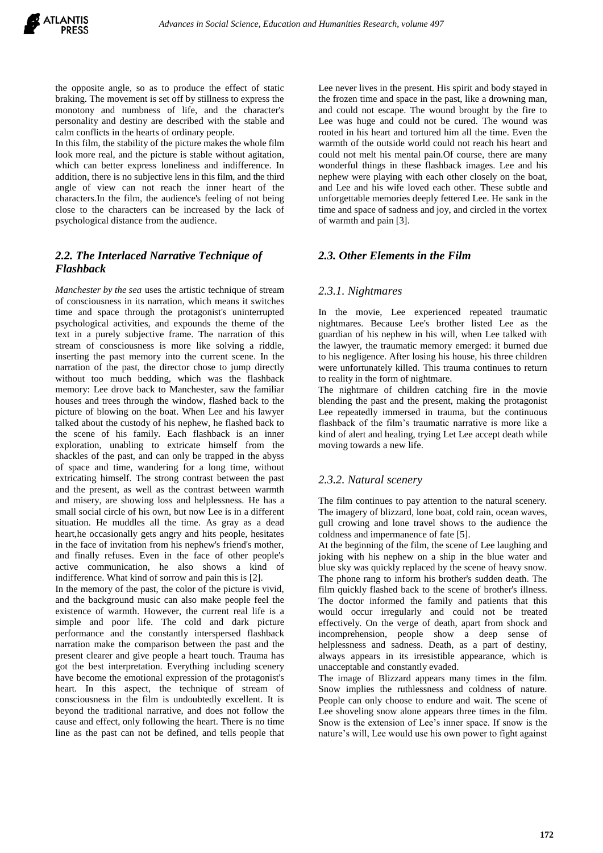the opposite angle, so as to produce the effect of static braking. The movement is set off by stillness to express the monotony and numbness of life, and the character's personality and destiny are described with the stable and calm conflicts in the hearts of ordinary people.

In this film, the stability of the picture makes the whole film look more real, and the picture is stable without agitation, which can better express loneliness and indifference. In addition, there is no subjective lens in this film, and the third angle of view can not reach the inner heart of the characters.In the film, the audience's feeling of not being close to the characters can be increased by the lack of psychological distance from the audience.

# *2.2. The Interlaced Narrative Technique of Flashback*

*Manchester by the sea* uses the artistic technique of stream of consciousness in its narration, which means it switches time and space through the protagonist's uninterrupted psychological activities, and expounds the theme of the text in a purely subjective frame. The narration of this stream of consciousness is more like solving a riddle, inserting the past memory into the current scene. In the narration of the past, the director chose to jump directly without too much bedding, which was the flashback memory: Lee drove back to Manchester, saw the familiar houses and trees through the window, flashed back to the picture of blowing on the boat. When Lee and his lawyer talked about the custody of his nephew, he flashed back to the scene of his family. Each flashback is an inner exploration, unabling to extricate himself from the shackles of the past, and can only be trapped in the abyss of space and time, wandering for a long time, without extricating himself. The strong contrast between the past and the present, as well as the contrast between warmth and misery, are showing loss and helplessness. He has a small social circle of his own, but now Lee is in a different situation. He muddles all the time. As gray as a dead heart,he occasionally gets angry and hits people, hesitates in the face of invitation from his nephew's friend's mother, and finally refuses. Even in the face of other people's active communication, he also shows a kind of indifference. What kind of sorrow and pain this is [2].

In the memory of the past, the color of the picture is vivid, and the background music can also make people feel the existence of warmth. However, the current real life is a simple and poor life. The cold and dark picture performance and the constantly interspersed flashback narration make the comparison between the past and the present clearer and give people a heart touch. Trauma has got the best interpretation. Everything including scenery have become the emotional expression of the protagonist's heart. In this aspect, the technique of stream of consciousness in the film is undoubtedly excellent. It is beyond the traditional narrative, and does not follow the cause and effect, only following the heart. There is no time line as the past can not be defined, and tells people that Lee never lives in the present. His spirit and body stayed in the frozen time and space in the past, like a drowning man, and could not escape. The wound brought by the fire to Lee was huge and could not be cured. The wound was rooted in his heart and tortured him all the time. Even the warmth of the outside world could not reach his heart and could not melt his mental pain.Of course, there are many wonderful things in these flashback images. Lee and his nephew were playing with each other closely on the boat, and Lee and his wife loved each other. These subtle and unforgettable memories deeply fettered Lee. He sank in the time and space of sadness and joy, and circled in the vortex of warmth and pain [3].

#### *2.3. Other Elements in the Film*

#### *2.3.1. Nightmares*

In the movie, Lee experienced repeated traumatic nightmares. Because Lee's brother listed Lee as the guardian of his nephew in his will, when Lee talked with the lawyer, the traumatic memory emerged: it burned due to his negligence. After losing his house, his three children were unfortunately killed. This trauma continues to return to reality in the form of nightmare.

The nightmare of children catching fire in the movie blending the past and the present, making the protagonist Lee repeatedly immersed in trauma, but the continuous flashback of the film's traumatic narrative is more like a kind of alert and healing, trying Let Lee accept death while moving towards a new life.

#### *2.3.2. Natural scenery*

The film continues to pay attention to the natural scenery. The imagery of blizzard, lone boat, cold rain, ocean waves, gull crowing and lone travel shows to the audience the coldness and impermanence of fate [5].

At the beginning of the film, the scene of Lee laughing and joking with his nephew on a ship in the blue water and blue sky was quickly replaced by the scene of heavy snow. The phone rang to inform his brother's sudden death. The film quickly flashed back to the scene of brother's illness. The doctor informed the family and patients that this would occur irregularly and could not be treated effectively. On the verge of death, apart from shock and incomprehension, people show a deep sense of helplessness and sadness. Death, as a part of destiny, always appears in its irresistible appearance, which is unacceptable and constantly evaded.

The image of Blizzard appears many times in the film. Snow implies the ruthlessness and coldness of nature. People can only choose to endure and wait. The scene of Lee shoveling snow alone appears three times in the film. Snow is the extension of Lee's inner space. If snow is the nature's will, Lee would use his own power to fight against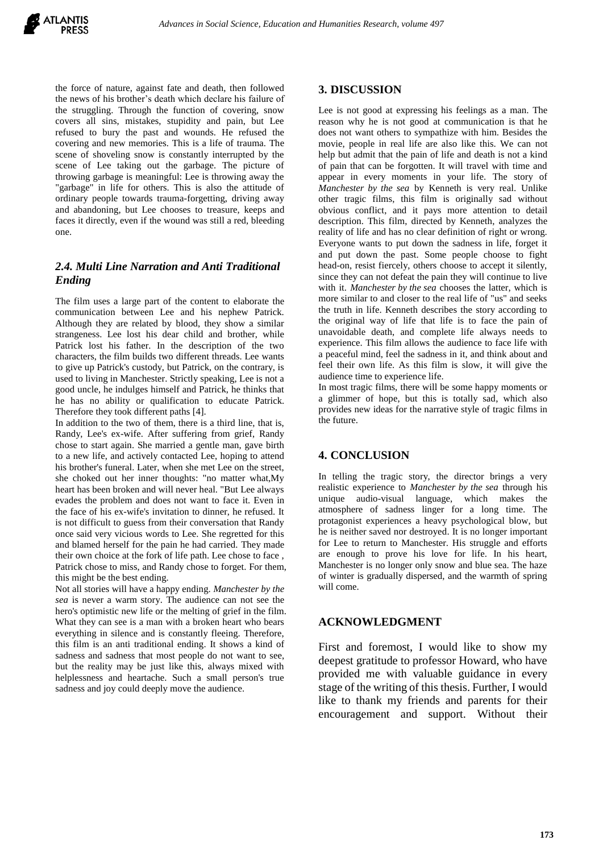the force of nature, against fate and death, then followed the news of his brother's death which declare his failure of the struggling. Through the function of covering, snow covers all sins, mistakes, stupidity and pain, but Lee refused to bury the past and wounds. He refused the covering and new memories. This is a life of trauma. The scene of shoveling snow is constantly interrupted by the scene of Lee taking out the garbage. The picture of throwing garbage is meaningful: Lee is throwing away the "garbage" in life for others. This is also the attitude of ordinary people towards trauma-forgetting, driving away and abandoning, but Lee chooses to treasure, keeps and faces it directly, even if the wound was still a red, bleeding one.

# *2.4. Multi Line Narration and Anti Traditional Ending*

The film uses a large part of the content to elaborate the communication between Lee and his nephew Patrick. Although they are related by blood, they show a similar strangeness. Lee lost his dear child and brother, while Patrick lost his father. In the description of the two characters, the film builds two different threads. Lee wants to give up Patrick's custody, but Patrick, on the contrary, is used to living in Manchester. Strictly speaking, Lee is not a good uncle, he indulges himself and Patrick, he thinks that he has no ability or qualification to educate Patrick. Therefore they took different paths [4].

In addition to the two of them, there is a third line, that is, Randy, Lee's ex-wife. After suffering from grief, Randy chose to start again. She married a gentle man, gave birth to a new life, and actively contacted Lee, hoping to attend his brother's funeral. Later, when she met Lee on the street, she choked out her inner thoughts: "no matter what,My heart has been broken and will never heal. "But Lee always evades the problem and does not want to face it. Even in the face of his ex-wife's invitation to dinner, he refused. It is not difficult to guess from their conversation that Randy once said very vicious words to Lee. She regretted for this and blamed herself for the pain he had carried. They made their own choice at the fork of life path. Lee chose to face , Patrick chose to miss, and Randy chose to forget. For them, this might be the best ending.

Not all stories will have a happy ending. *Manchester by the sea* is never a warm story. The audience can not see the hero's optimistic new life or the melting of grief in the film. What they can see is a man with a broken heart who bears everything in silence and is constantly fleeing. Therefore, this film is an anti traditional ending. It shows a kind of sadness and sadness that most people do not want to see, but the reality may be just like this, always mixed with helplessness and heartache. Such a small person's true sadness and joy could deeply move the audience.

# **3. DISCUSSION**

Lee is not good at expressing his feelings as a man. The reason why he is not good at communication is that he does not want others to sympathize with him. Besides the movie, people in real life are also like this. We can not help but admit that the pain of life and death is not a kind of pain that can be forgotten. It will travel with time and appear in every moments in your life. The story of *Manchester by the sea* by Kenneth is very real. Unlike other tragic films, this film is originally sad without obvious conflict, and it pays more attention to detail description. This film, directed by Kenneth, analyzes the reality of life and has no clear definition of right or wrong. Everyone wants to put down the sadness in life, forget it and put down the past. Some people choose to fight head-on, resist fiercely, others choose to accept it silently, since they can not defeat the pain they will continue to live with it. *Manchester by the sea* chooses the latter, which is more similar to and closer to the real life of "us" and seeks the truth in life. Kenneth describes the story according to the original way of life that life is to face the pain of unavoidable death, and complete life always needs to experience. This film allows the audience to face life with a peaceful mind, feel the sadness in it, and think about and feel their own life. As this film is slow, it will give the audience time to experience life.

In most tragic films, there will be some happy moments or a glimmer of hope, but this is totally sad, which also provides new ideas for the narrative style of tragic films in the future.

# **4. CONCLUSION**

In telling the tragic story, the director brings a very realistic experience to *Manchester by the sea* through his unique audio-visual language, which makes the atmosphere of sadness linger for a long time. The protagonist experiences a heavy psychological blow, but he is neither saved nor destroyed. It is no longer important for Lee to return to Manchester. His struggle and efforts are enough to prove his love for life. In his heart, Manchester is no longer only snow and blue sea. The haze of winter is gradually dispersed, and the warmth of spring will come.

# **ACKNOWLEDGMENT**

First and foremost, I would like to show my deepest gratitude to professor Howard, who have provided me with valuable guidance in every stage of the writing of this thesis. Further, I would like to thank my friends and parents for their encouragement and support. Without their